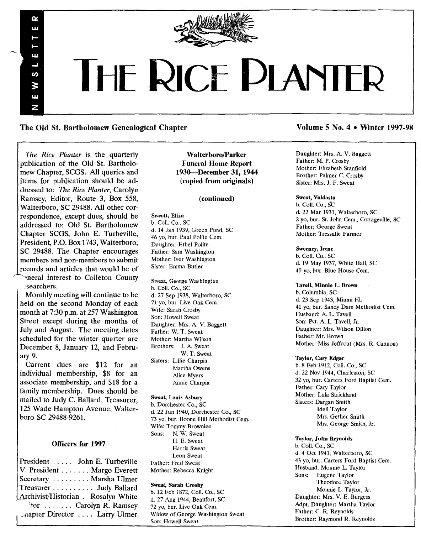

# THE RICE PLANTER

The Old St. Bartholomew Genealogical Chapter

*The Rice Planter* is the quarterly publication of the Old St. Bartholomew Chapter, SCGS. All queries and items for publication should be addressed to: *The Rice Planter,* Carolyn Ramsey, Editor, Route 3, Box 558, Walterboro, SC 29488. All other correspondence, except dues, should be addressed to: Old St. Bartholomew Chapter SCGS, John E. Turbeville, President, P.O. Box 1743, Walterboro, SC 29488. The Chapter encourages members and non-members to submit records and articles that would be of ~neral interest to Colleton County ;searchers.

 $\boldsymbol{\alpha}$ Ŵ.

UT.  $\overline{a}$ ဖာ W LLI. Z

Monthly meeting will continue to be held on the second Monday of each month at 7:30 p.m. at 257 Washington Street except during the months of July and August. The meeting dates scheduled for the winter quarter are December 8, January 12, and February 9.

Current dues are \$12 for an individual membership, \$8 for an associate membership, and \$18 for a family membership. Dues should be mailed to Judy C. Ballard, Treasurer, 125 Wade Hampton Avenue, Walterboro SC 29488-9261.

# Officers for 1997

President ..... John E. Turbeville V. President ...... Margo Everett Secretary ........ Marsha Ulmer Treasurer . . . . . . . . . Judy Ballard Archivist/Historian. Rosalyn White  $\text{``tor } \ldots \ldots$  Carolyn R. Ramsey ~flapter Director .... Larry Ulmer

Walterboro/Parker Funeral Home Report 1930-December 31,1944 (copied from originals)

# (continued)

# Sweatt, Eliza

b. Coli. Co., SC d. 14 Jan 1939, Green Pond, SC 46 vo, bur. Paul Polite Cem. Daughter: Ethel Polite Father: Sam Washington Mother: Iver Washington Sister: Emma Butler

Sweat, George Washington b. ColI. Co., SC d. 27 Sep 1938, Walterboro, SC 71 yo, bur. Live Oak Cern. Wife: Sarah Crosby Son: Howell Sweat Daughter: Mrs. A. V. Baggett Father: W. T. Sweat Mother: Martha Wilson Brothers: J. A. Sweat W. T. Sweat Sisters: Lillie Charpia Martha Owens Alice Myers Annie Charpia

# Sweat, Louis Asbury

b. Dorchester Co., SC d. 22 Jun 1940, Dorchester Co., SC 73 yo, bur. Boone Hill Methodist Cem. Wife: Tommy Brownlee Sons: N. W. Sweat H. E. Sweat Harris Sweat Leon Sweat Father: Fred Sweat Mother: Rebecca Knight

Sweat, Sarah Crosby b. 12 Feb 1872, CoIL Co., SC d. 27 Aug 1944, Beaufort, SC 72 yo, bur. Live Oak Cem. Widow of George Washington Sweat Son: Howell Sweat

# Volume 5 No. 4 • Winter 1997-98

Daughter: Mrs. A. V. Baggett Father: M. P. Crosby Mother: Elizabeth Stanfield Brother: Palmer C. Crosby Sister: Mrs. J. F. Sweat

# Sweat, Valdosta

b. Coll. Co., SC d. 22 Mar 1931, Walterboro, SC 2 yo, bur. St. John Cern., Cottageville, SC Father: George Sweat Mother: Tressalie Farmer

#### Sweeney, Irene

b. CoIl. Co., SC d. 19 May 1937, White Hall, SC 40 yo, bur. Blue House Cern.

## Tavell, Minnie L. Brown

b. Columbia, SC d. 23 Sep 1943, Miami FL 41 yo, bur. Sandy Dam Methodist Cem. Husband: A. L. Tavell Son: Pvt. A. L. Tavell, Jr. Daughter: Mrs. Wilson Dillon Father: Mr. Brown Mother: Miss Jeffcoat (Mrs. R. Cannon)

#### Taylor, Cary Edgar

b.8 Feb 1912, CoIl. Co., SC d. 22 Nov 1944, Charleston, SC 32 yo, bur. Carters Ford Baptist Cem. Father: Cary Taylor Mother: Lula Strickland Sisters: Dargan Smith Idell Taylor Mrs. Gether Smith Mrs. George Smith, Jr.

# Taylor, Julia Reynolds

b. CoIl. Co., SC d. 4 Oct 1941, Walterboro, SC 43 yo, bur. Carters Ford Baptist Cem. Husband: Monnie L. Taylor Sons: Eugene Taylor Theodore Taylor Monnie L. Taylor, Jr. Daughter: Mrs. V. E. Burgess Adpt. Daughter: Martha Taylor Father: C. R. Reynolds Brother: Raymond R. Reynolds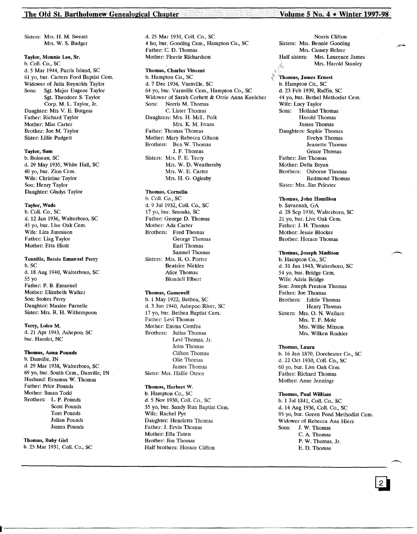# The Old St. Bartholomew Genealogical Chapter Volume 5 No. 4 • Winter 1997-98

Sisters: Mrs. H. M. Sweatt Mrs. W. S. Badger

Taylor, Monnie Lee, Sr. b. ColI. Co., SC d.5 Mar 1944, Parris Island, SC 61 yo, bur. Carters Ford Baptist Cem. Widower of Julia Reynolds Taylor Sons: Sgt. Major Eugene Taylor Sgt. Theodore S. Taylor Corp. M. L. Taylor, Jr. Daughter: Mrs V. E. Burgess Father: Richard Taylor Mother: Miss Carter Brother: Joe M. Taylor Sister: Lillie Padgett

#### Taylor, Sam

b. Boineau, SC d. 29 May 1935, White Hall, SC 40 yo, bur. Zion Cern. Wife: Christine Taylor Son: Henry Taylor Daughter: Gladys Taylor

## Taylor, Wade

b. ColI. Co., SC d. 12 Jan 1936, Walterboro, SC 45 yo, bur. Live Oak Cem. Wife: Liza Jimmison Father: Liag Taylor Mother: Etta Hiott

# Tennille, Bessie Emanuel Perry

b. SC d. 18 Aug 1940, Walterboro, SC 55 yo Father: P. B. Emanuel Mother: Elizabeth Walker Son: Stokes Perry Daughter: Maxine Parnelle Sister: Mrs. R. H. Witherspoon

Terry, Loice M. d. 21 Apr 1943, Ashepoo, SC bur. Hamlet, NC

# Thomas, Anna Pounds

b. Danville, IN d. 29 Mar 1938, Walterboro, SC 69 yo, bur. South Cern., Danville, IN Husband: Erasmus W. Thomas Father: Price Pounds Mother: Susan Todd Brothers: L. P. Pounds Scott Pounds Tom Pounds Julian Pounds James Pounds

Thomas, Baby Girl b. 25 Mar 1931, Coli. Co., SC d. 25 Mar 1931, ColI. Co., SC 4 ho, bur. Gooding Cern., Hampton Co., SC Father: C. D. Thomas Mother: Florrie Richardson

Thomas, Charles Vincent b. Hampton Co., SC d. 7 Dec 1936, Varnville, SC 64 yo, bur. Varnville Cern., Hampton Co., SC Widower of Sarah Corbett & Orrie Anna Keeleher Sons: Norris M. Thomas C. Lister Thomas Daughters: Mrs. H. McL. Polk Mrs. K. M. Evans Father: Thomas Thomas Mother: Mary Rebecca Gibson Brothers: Ben W. Thomas J. F. Thomas Sisters: Mrs. P. E. Terry Mrs. W. D. Weathersby Mrs. W. E. Carter Mrs. H. G. Oglesby

# Thomas, Cornelia

b. ColI. Co., SC d. 9 Jul 1932, ColI. Co., SC 17 yo, bur. Smoaks, SC Father: George D. Thomas Mother: Ada Carter Brothers: Fred Thomas George Thomas Earl Thomas Samuel Thomas Sisters: Mrs. R. O. Porter Beatrice Nickles Alice Thomas Blondell Elbert

# Thomas, Gamewell

b. 1 May 1922, Bethea, SC d. 3 Jun 1940, Ashepoo River, SC 17 yo, bur. Bethea Baptist Cem. Father: Levi Thomas Mother: Emma Comfee Brothers: Julius Thomas Levi Thomas, Jr. John Thomas Oifton Thomas Olie Thomas James Thomas Sister: Mrs. Hallie Oteen

# Thomas, Herbert w.

b. Hampton Co., SC d. 5 Nov 1938, Coli. Co., SC 35 yo, bur. Sandy Run Baptist Cem. Wife: Rachel Pye Daughter: Henrietta Thomas Father: J. Ervin Thomas Mother: Ella Tuten Brother: Jim Thomas Half brothers: Horace Clifton

Norris Clifton Sisters: Mrs. Bennie Gooding Mrs. Causey Belzer Half sisters: Mrs. Laurence James  $\mathbb{R}$ . Mrs. Harold Stanley

~\ 'Thomas, James Ernest b. Hampton Co., SC d. 23 Feb 1939, Ruffin, SC 44 yo, bur. Bethel Methodist Cem. Wife: Lucy Taylor<br>Sons: Holland T Holland Thomas Harold Thomas James Thomas Daughters: Sophie Thomas Evelyn Thomas Jeanette Thomas Grace Thomas Father: Jim Thomas Mother: Della Bryan Brothers: Osborne Thomas Redmond Thomas Sister: Mrs. Jim Priester

#### Thomas, John Hamilton

b. Savannah, GA d. 28 Sep 1936, Walterboro, SC 21 yo, bur. Live Oak Cern. Father: J. H. Thomas Mother: Jessie Blocker Brother: Horace Thomas

## Thomas, Joseph Madison

b. Hampton Co., SC d. 31 Jan 1943, Walterboro, SC 54 yo, bur. Bridge Cern. Wife: Adria Bridge Son: Joseph Preston Thomas Father: Joe Thomas Brothers: Eddie Thomas Henry Thomas Sisters: Mrs. O. N. Wallace Mrs. T. F. Mole Mrs. Willie Mixson Mrs. Wilken Roshier

## Thomas, Laura

b. 16 Jan 1870, Dorchester Co., SC d. 22 Oct 1930, ColI. Co., SC 60 yo, bur. Live Oak Cern. Father: Richard Thomas Mother: Anne Jennings

# Thomas, Paul William

b. 1 Ju11841, Coil. Co., SC d. 14 Aug 1936, Coil. Co., SC 95 yo, bur. Green Pond Methodist Cem. Widower of Rebecca Ann Hiers Sons: J. W. Thomas C. A. Thomas P. W. Thomas, Jr. E. D. Thomas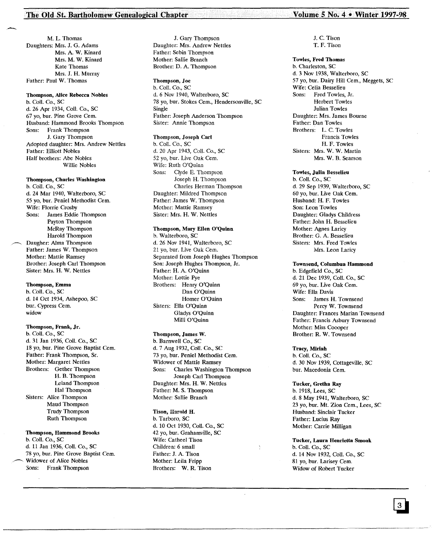# The Old St. Bartholomew Genealogical Chapter

M. L. Thomas Daughters: Mrs. J. G. Adams Mrs. A. W. Kinard Mrs. M. W. Kinard Kate Thomas Mrs. J. H. Murray Father: Paul W. Thomas

--,

# Thompson, Alice Rebecca Nobles

b. Coil. Co., SC d. 26 Apr 1934, Coli. Co., SC 67 yo, bur. Pine Grove Cern. Husband: Hammond Brooks Thompson Frank Thompson J. Gary Thompson Adopted daughter: Mrs. Andrew Nettles Father: Elliott Nobles Half brothers: Abe Nobles Willie Nobles

## Thompson, Charles Washington

b. Coli. Co., SC d. 24 Mar 1940, Walterboro, SC 55 yo, bur. Peniel Methodist Cern. Wife: Florrie Crosby Sons: James Eddie Thompson Payton Thompson McRay Thompson Harold Thompson Daugher: Alma Thompson Father: James W. Thompson Mother: Mattie Ramsey Brother: Joseph Carl Thompson Sister: Mrs. H. W. Nettles

# Thompson, Emma

b. Coli. Co., SC d. 14 Oct 1934, Ashepoo, SC bur. Cypress Cem. widow

## Thompson, Frank, Jr.

b. Coli. Co., SC d. 31 Jan 1936, Coli. Co., SC 18 yo, bur. Pine Grove Baptist Cem. Father: Frank Thompson, Sr. Mother: Margaret Nettles Brothers: Gether Thompson H. B. Thompson Leland Thompson Hal Thompson Sisters: Alice Thompson Maud Thompson Trudy Thompson Ruth Thompson

# Thompson, Hammond Brooks

b. Coil. Co., SC d. 11 Jan 1936, Coli. Co., SC 78 yo, bur. Pine Grove Baptist Cem. Widower of Alice Nobles 30ns: Frank Thompson

J. Gary Thompson Daughter: Mrs. Andrew Nettles Father: Sebin Thompson Mother: Sallie Branch Brother: D. A. Thompson

Thompson, Joe b. CoIl. Co., SC d. 6 Nov 1940, Walterboro, SC 78 yo, bur. Stokes Cern., Hendersonville, SC Single Father: Joseph Anderson Thompson Sister: Annie Thompson

# Thompson, Joseph Carl

b. CoIl. Co., SC d. 20 Apr 1943, Coli. Co., SC 52 yo, bur. Live Oak Cern. Wife: Ruth O'Quinn Sons: Clyde E. Thompson Joseph H. Thompson Charles Herman Thompson Daughter: Mildred Thompson Father: James W. Thompson Mother: Mattie Ramsey Sister: Mrs. H. W. Nettles

# Thompson, Mary Ellen O'Quinn

b. Walterboro, SC d. 26 Nov 1941, Walterboro, SC 21 yo, bur. Live Oak Cern. Separated from Joseph Hughes Thompson Son: Joseph Hughes Thompson, Jr. Father: H. A. O'Quinn Mother: Lottie Pye Brothers: Henry O'Quinn Dan O'Quinn Homer O'Quinn Sisters: Ella O'Quinn Gladys O'Quinn Milli O'Quinn

# Thompson, James W.

b. Barnwell Co., SC d. 7 Aug 1932, Coil. Co., SC 73 yo, bur. Peniel Methodist Cem. Widower of Mattie Ramsey<br>Sons: Charles Washington Charles Washington Thompson Joseph Carl Thompson Daughter: Mrs. H. W. Nettles Father: M. S. Thompson Mother: Sallie Branch

# Tison, Harold H. b. Tarboro, SC d. 10 Oct 1930, Call. Co., SC 42 yo, bur. Grahamville, SC Wife: Catheel Tison Children: 6 small Father: J. A. Tison Mother: Leila Fripp Brothers: W. R. Tison

# Volume *5* No.4. Winter 1997·98

J. C. Tison T. F. Tison

# Towles, Fred Thomas

b. Charleston, SC d. 3 Nov 1938, Walterboro, SC 57 yo, bur. Dairy Hill Cem., Meggets, SC Wife: Celia Besselieu<br>Sons: Fred Towles. Fred Towles, Jr. Herbert Towles Julian Towles Daughter: Mrs. James Bourne Father: Dan Towles Brothers: L. C. Towles Francis Towles H. F. Towles Sisters: Mrs. W. W. Martin Mrs. W. B. Searson

## Towles, Julia Besselieu

b. Coli. Co., SC d. 29 Sep 1939, Walterboro, SC 60 yo, bur. Live Oak Cern. Husband: H. F. Towles Son: Leon Towles Daughter: Gladys Childress Father: John H. Besselieu Mother: Agnes Laricy Brother: G. A. Besselieu Sisters: Mrs. Fred Towles Mrs. Leon Laricy

# Townsend, Columbua Hammond

b. Edgefield Co., SC d. 21 Dec 1939, Coli. Co., SC 69 yo, bur. Live Oak Cern. Wife: Ella Davis Sons: James H. Townsend Percy W. Townsend Daughter: Frances Marian Townsend Father: Francis Asbury Townsend Mother: Miss Coooper Brother: R. W. Townsend

#### Tracy, Miriah

b. Coli. Co., SC d. 30 Nov 1939, Cottageville, SC bur. Macedonia Cern.

# Tucker, Gretha Ray

b. 1918, Lees, SC d. 8 May 1941, Walterboro, SC 23 yo, bur. Mt. Zion Cern., Lees, SC Husband: Sinclair Tucker Father: Lucius Ray Mother: Carrie Milligan

Tucker, Laura Henrietta Smoak b. Coli. Co., SC d. 14 Nov 1932, Coli. Co., SC 81 yo, bur. Larisey Cem. Widow of Robert Tucker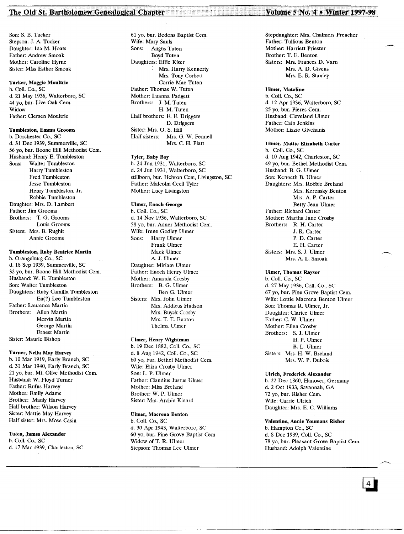# The Old St. Bartholomew Genealogical Chapter. ..·VolumeS No.4 • Winterl997~98'

Son: S. B. Tucker Stepson: J. A. Tucker Daughter: Ida M. Hoats Father: Andrew Smoak Mother: Caroline Hyrne Sister: Miss Esther Smoak

# Tucker, Maggie Moultrie

b. Coli. Co., SC d. 21 May 1936, Walterboro, SC 44 yo, bur. Live Oak Cem. Widow Father: Clemen Moultrie

# Tumbleston, Emma Grooms

b. Dorchester Co., SC d. 31 Dec 1939, Summerville, SC 56 yo, bur. Boone Hill Methodist Cern. Husband: Henry E. Tumbleston Sons: Walter Tumbleston Harry Tumbleston Fred Tumbleston Jesse Tumbleston Henry Tumbleston, Jr. Robbie Tumbleston Daughter: Mrs. D. Lambert Father: Jim Grooms Brothers: T. G. Grooms Louis Grooms Sisters: Mrs. B. Rughit Annie Grooms

# Tumbleston, Ruby Beatrice Martin

b. Orangeburg Co., SC d. 18 Sep 1939, Summerville, SC 32 yo, bur. Boone Hill Methodist Cern. Husband: W. E. Tumbleston Son: Walter Tumbleston Daughters: Ruby Camilla Tumbleston En(?) Lee Tumbleston Father: Laurence Martin Brothers: Allen Martin Mervin Martin George Martin Ernest Martin Sister: Maurie Bishop

# Turner, Nella May Harvey

b. 10 Mar 1919, Early Branch, SC d. 31 Mar 1940, Early Branch, SC 21 yo, bur. Mt. Olive Methodist Cem. Husband: W. Floyd Turner Father: Rufus Harvey Mother: Emily Adams Brother: Manly Harvey Half brother: Wilson Harvey Sister: Mattie May Harvey Half sister: Mrs. Mose Casin

# Tuten, James Alexander b. Coli. Co., SC d. 17 Mar 1939, Charleston, SC

61 yo, bur. Bedons Baptist Cern. Wife: Mary Sauls Sons: Angus Tuten Boyd Tuten Daughters: Effie Kiser , Mrs. Harry Kennerty Mrs. Tony Corbett Corrie Mae Tuten Father: Thomas W. Tuten Mother: Luanna Padgett Brothers: J. M. Tuten H. M. Tuten Half brothers: E. E. Driggers D. Driggers Sister: Mrs. O. S. Hill Half sisters: Mrs. G. W. Fennell Mrs. C. H. Platt

# Tyler, Baby Boy

b. 24 Jun 1931, Walterboro, SC d. 24 Jun 1931, Walterboro, SC stillborn, bur. Hebron Cem, Livingston, SC Father: Malcolm Cecil Tyler Mother: Lucy Livingston

## Ulmer, Enoch George

b. Coil. Co., SC d. 14 Nov 1936, Walterboro, SC 58 yo, bur. Adner Methodist Cem. Wife: Irene Godley Ulmer Sons: Harry Ulmer Frank Ulmer Mack Ulmer A. J. Ulmer Daughter: Miriam Ulmer Father: Enoch Henry Ulmer Mother: Amanda Crosby Brothers: B. G. Ulmer Ben G. Ulmer Sisters: Mrs. John Ulmer Mrs. Addicus Hudson Mrs. Buyck Crosby Mrs. T; E. Benton Thelma Ulmer

# Ulmer, Henry Wightman

b. 19 Dec 1882, CoIl. Co., SC d. 8 Aug 1942, CoIl. Co., SC 60 yo, bur. Bethel Methodist Cern. Wife: Eliza Crosby Ulmer Son: L. P. Ulmer Father: Claudius Justus Ulmer Mother: Miss Breland Brother: W. P. Ulmer Sister: Mrs. Archie Kinard

## Ulmer, Macrena Benton

b. CoIl. Co., SC d. 30 Apr 1943, Walterboro, SC 60 yo, bur. Pine Grove Baptist Cern. Widow of T. R. Ulmer Stepson: Thomas Lee Ulmer

# Stepdaughter: Mrs. Chalmers Preacher Father: Tullious Benton Mother: Harriett Priester Brother: T. E. Benton Sisters: Mrs. Frances D. Varn Mrs. A. D. Givens Mrs. E. R. Stanley

# Ulmer, Mataline b. CoIl. Co., SC d. 12 Apr 1936, Walterboro, SC 25 yo, bur. Pieres Cern. Husband: Cleveland Ulmer Father: Cain Jenkins Mother: Lizzie Givehanis

Ulmer, Mattie Elizabeth Carter b. CoIl. Co., SC d. 10 Aug 1942, Charleston, SC 49 yo, bur. Bethel Methodist Cem. Husband: B. G. Ulmer Son: Kenneth B. Ulmer Daughters: Mrs. Robbie Breland Mrs. Kerensky Benton Mrs. A. P. Carter Betty Jean Ulmer Father: Richard Carter Mother: Martha Jane Crosby Brothers: R. H. Carter J. R. Carter P. D. Carter E. H. Carter Sisters: Mrs. S. J. Ulmer Mrs. A. L. Smoak

# Ulmer, Thomas Raysor b. Coli. Co., SC

d. 27 May 1936, CoIl. Co., SC 67 yo, bur. Pine Grove Baptist Cern. Wife: Lottie Macrena Benton Ulmer Son: Thomas R. Ulmer, Jr. Daughter: Clarice Ulmer Father: C. W. Ulmer Mother: Ellen Crosby Brothers: S. J. Ulmer H. P. Ulmer B. L. Ulmer Sisters: Mrs. H. W. Breland Mrs. W. P. Dubois

#### Ulrich, Frederick Alexander

b. 22 Dec 1860, Hanover, Germany d. 2 Oct 1933, Savannah, GA 72 yo, bur. Risher Cem. Wife: Carrie Ulrich Daughter: Mrs. E. C. Williams

# Valentine, Annie Youmans Risher

b. Hampton Co., SC d. 8 Dec 1939, CoIl. Co., SC 78 yo, bur. Pleasant Grove Baptist Cem. Husband: Adolph Valentine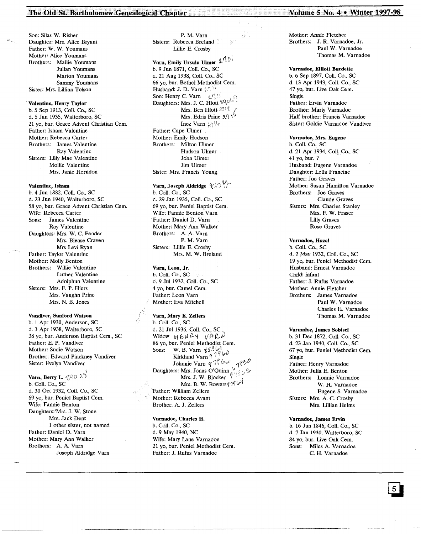# The Old St. Bartholomew Genealogical Chapter Volume S No. 4 • Winter 1997-98

Son: Silas W. Risher Daughter: Mrs. Alice Bryant Father: W. W. Youmans Mother: Alice Youmans Brothers: Mallie Youmans Julian Youmans Marion Youmans Sammy Youmans Sister: Mrs. Lillian Tolson

. Valentine, Henry Taylor

b.5 Sep 1913, Coil. Co., SC d. 5 Jan 1935, Walterboro, SC 21 vo, bur. Grace Advent Christian Cem. Father: Isham Valentine Mother: Rebecca Carter Brothers: James Valentine Ray Valentine Sisters: Lilly Mae Valentine Mollie Valentine Mrs. Janie Herndon

# Valentine, Isham

b. 4 Jun 1882, Coli. Co., SC d. 23 Jun 1940, Walterboro, SC 58 yo, bur. Grace Advent Christian Cem. Wife: Rebecca Carter Sons: James Valentine Ray Valentine Daughters: Mrs. W. C. Fender Mrs. Blease Craven Mrs Levi Ryan Father: Taylor Valentine Mother: Molly Benton Brothers: Willie Valentine Luther Valentine Adolphun Valentine Sisters: Mrs. F. P. Hiers Mrs. Vaughn Prine Mrs. N. B. Jones

Vandiver, Sanford Watson b. 1 Apr 1930, Anderson, SC d. 3 Apr 1938, Walterboro, SC 38 yo, bur. Anderson Baptist Cern., SC Father: E. P. Vandiver Mother: Sudie Watson Brother: Edward Pinckney Vandiver Sister: Evelyn Vandiver

Varn, Berry L.  $\oint \mathcal{A}$ b. Coil. Co., SC d. 30 Oct 1932, ColI. Co., SC 69 yo, bur. Peniel Baptist Cem. Wife: Fannie Benton Daughters:'Mrs. J. W. Stone Mrs. Jack Dent 1 other sister, not named Father: Daniel D. Varn Mother: Mary Ann Walker Brothers: A. A. Varn Joseph Aldridge Varn

P. M. Varn Sisters: Rebecca Breland Lillie E. Crosby

Varn, Emily Ursula Ulmer $|\mathcal{U}^{\uparrow}|$ b. 9 Jun 1871, Coli. Co., SC d. 21 Aug 1938, Coil. Co., SC 66 yo, bur. Bethel Methodist Cem. Husband: J. D. Varn  $\mathcal{H}$ Son: Henry C. varn  $\mathcal{L}'$ Daughters: Mrs. J. C. Hiott Mrs. Ben Hiott  $\mathbb{X}^{\{1\}^L}$ Mrs. Edris Prine  $2\sqrt{5}$ Inez Varn  $\{y_i\}\$ r Father: Cape Ulmer Mother: Emily Hudson Brothers: Milton Ulmer Hudson Ulmer John Ulmer Jim Ulmer Sister: Mrs. Francis Young

Varn, Joseph Aldridge  $\{\sqrt{5}\}$ b. Coli. Co., SC d. 29 Jan 1935, ColI. Co., SC 69 yo, bur. Peniel Baptist Cem. Wife: Fannie Benton Varn 'Father: Daniel D. Varn Mother: Mary Ann Walker Brothers: A. A. Varn P. M. Varn Sisters: Lillie E. Crosby Mrs. M. W. Breland

Varn, Leon, Jr. b. ColI. Co., SC d. 9 Jill 1932, Coli. Co., SC 4 yo, bur. Camel Cern. Father: Leon Varn Mother: Eva Mitchell

Varn, Mary E. Zellers b. Coll. Co., SC<br>d. 21 Jul 1936, Coll. Co., SC  $d.$  21 Jul 1930, Coli. Co., SC,<br>Widow  $H \in \partial \mathcal{P}$   $\forall$  / A  $\mathcal{C}$ 86 yo, bur. Peniel Methodist Cem.<br>Sons: W. B. Varn  $\frac{253}{10}$ W. B. Varn  $\frac{85361}{196}$ <br>Kirkland Varn 9 1966 Kirkland Varn  $\frac{q}{q}$  ,  $\frac{q}{q}$  ,  $\frac{q}{q}$  ,  $\frac{q}{q}$  ,  $\frac{q}{q}$ Johnnie Varn  $q \rightarrow \qquad q \rightarrow \qquad q$  $D$ aughters: Mrs. Jonas  $O$  Quinn  $q \sqrt{q} \geqslant 4$ Mrs. J. W. Blocker 1 die 1 die 1 die 1 die 1 die 1 die 1 die 1 die 1 die 1 die 1 die 1 die 1 die 1 die 1 die 1 d<br>Mrs. B. W. Bowers 1 die 1 die 1 die 1 die 1 die 1 die 1 die 1 die 1 die 1 die 1 die 1 die 1 die 1 die 1 die Father: William Zellers Mother: Rebecca Avant Brother: A. J. Zellers

#### Varnadoe, Charles H.

b. Coli. Co., SC d. 9 May 1940, NC Wife: Mary Lane Varnadoe 21 yo, bur. Peniel Methodist Cem. Father: J. Rufus Varnadoe

Mother: Annie Fletcher Brothers: J. R. Varnadoe, Jr. Paul W. Varnadoe Thomas M. Varnadoe

#### Varnadoe, Elliott Burdette

b. 6 Sep 1897, Coli. Co., SC d. 13 Apr 1943, ColI. Co., SC 47 yo, bur. Live Oak Cem. Single Father: Ervin Varnadoe Brother: Marly Varnadoe Half brother: Francis Varnadoe Sister: Goldie Varnadoe Vandiver

#### Varnadoe, Mrs. Eugene

b. Coli. Co., SC d. 21 Apr 1934, Coll. Co., SC 41 yo, bur. ? Husband: Eugene Varnadoe Daughter: Lelia Francine Father: Joe Graves Mother: Susan Hamilton Varnadoe Brothers: Joe Graves Claude Graves Sisters: Mrs. Charles Stanley Mrs. F. W. Fraser Lilly Graves Rose Graves

# Varnadoe, Hazel

b. Coli. Co., SC d. 2 May 1932, Coll. Co., SC 19 yo, bur. Peniel Methodist Cern. Husband: Ernest Varnadoe Child: infant Father: J. Rufus Varnadoe Mother: Annie Fletcher Brothers: James Varnadoe Paul W. Varnadoe Charles H. Varnadoe Thomas M. Varnadoe

# Varnadoe, James Sobisci

b. 31 Dec 1872, ColI. Co., SC d. 23 Jan 1940, Coli. Co., SC 67 yo, bur. Peniel Methodist Cem. Single Father: Henry Varnadoe Mother: Julia E. Benton Brothers: Lonnie Varnadoe W. H. Varnadoe Eugene S. Varnadoe Sisters: Mrs. A. C. Crosby Mrs. Lillian Helms

## Varnadoe, James Ervin

b. 16 Jun 1846, Coli. Co., SC d. 7 Jan 1930, Walterboro, SC 84 yo, bur. Live Oak Cem. Sons: Miles A. Varnadoe C. H. Varnadoe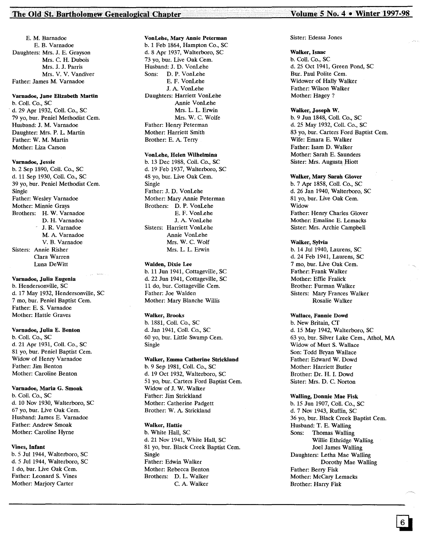# The Old St. Bartholomew Genealogical Chapter Volume 5 No. 4 • Winter 1997-98

E. M. Barnadoe E. B. Varnadoe Daughters: Mrs. J. E. Grayson Mrs. C. H. Dubois Mrs. J. J. Parris Mrs. V. V. Vandiver Father: James M. Varnadoe

# Varnadoe, Jane Elizabeth Martin

b. Coli. Co., SC . d. 29 Apr 1932, ColI. Co., SC 79 yo, bur. Peniel Methodist Cern. Husband: J. M. Varnadoe Daughter: Mrs. P. L. Martin Father: W. M. Martin Mother: Liza Carson

#### Varnadoe, Jessie

b. 2 Sep 1890, CoIl. Co., SC d. 11 Sep 1930, ColI. Co., SC 39 yo, bur. Peniel Methodist Cern. Single Father: Wesley Varnadoe Mother: Minnie Grays Brothers: H. W. Varnadoe D. H. Varnadoe J. R. Varnadoe M. A. Varnadoe V. B. Varnadoe Sisters: Annie Risher Qara Warren Luna DeWitt

# Varnadoe, Julia Eugenia

b. Hendersonville, SC d. 17 May 1932, Hendersonville, SC 7 mo, bur. Peniel Baptist Cem. Father: E. S. Varnadoe Mother: Hattie Graves

# Varnadoe, Julia E. Benton

b. ColI. Co., SC d. 21 Apr 1931, ColI. Co., SC 81 yo, bur. Peniel Baptist Cem. Widow of Henry Varnadoe Father: Jim Benton Mother: Caroline Benton

#### Varnadoe, Marla G. Smoak

b. Coli. Co., SC d. 10 Nov 1930, Walterboro, SC 67 yo, bur. Live Oak Cern. Husband: James E. Varnadoe Father: Andrew Smoak Mother: Caroline Hyrne

### Vines, Infant

b. 5 Jul 1944, Walterboro, SC d. 5 Jul 1944, Walterboro, SC 1 do, bur. Live Oak Cern. Father: Leonard S. Vines Mother: Marjory Carter

#### VonLehe, Mary Annie Peterman

b. 1 Feb 1864, Hampton Co., SC d. 8 Apr 1937, Walterboro, SC 73 vo. bur. Live Oak Cem. Husband: J. D. VonLehe Sons: D. P. VonLehe E. F. VonLehe J. A. VonLehe Daughters: Harriett VonLehe Annie VonLehe Mrs. L. L. Erwin Mrs. W. C. Wolfe Father: Henry Peterman Mother: Harriett Smith Brother: E. A. Terry

# VonLehe, Helen Wilhelmina

b. 13 Dec 1988, Coli. Co., SC d. 19 Feb 1937, Walterboro, SC 48 yo, bur. Live Oak Cern. Single Father: J. D. VonLehe Mother: Mary Annie Peterman Brothers: D. P. VonLehe E. F. VonLehe J. A. VonLehe Sisters: Harriett VonLehe Annie VonLehe Mrs. W. C. Wolf Mrs. L. L. Erwin

### Walden, Dixie Lee

b. 11 Jun 1941, Cottageville, SC d. 22 Jun 1941, Cottageville, SC 11 do, bur. Cottageville Cern. Father: Joe Walden Mother: Mary Blanche Willis

## Walker, Brooks

b. 1881, Coli. Co., SC d. Jan 1941, ColI. Co., SC 60 yo, bur. Little Swamp Cern. Single

# Walker, Emma Catherine Strickland

b. 9 Sep 1981, CoIl. Co., SC d. 19 Oct 1932, Walterboro, SC 51 yo, bur. Carters Ford Baptist Cern. Widow of J. W. Walker Father: Jim Strickland Mother: Catherine Padgett Brother: W. A. Strickland

# Walker, Hattie

b. White Hall, SC d. 21 Nov 1941, White Hall, SC 81 yo, bur. Black Creek Baptist Cem. Single Father: Edwin Walker Mother: Rebecca Benton Brothers: D. L. Walker C. A. Walker

# Sister: Edessa Jones

#### Walker, Isaac

b. Coli. Co., SC d. 25 Oct 1941, Green Pond, SC Bur. Paul Polite Cern. Widower of Hally Walker Father: Wilson Walker Mother: Hagey?

#### Walker, Joseph W.

b. 9 Jun 1848, Coli. Co., SC d.25 May 1932, Coli. Co., SC 83 yo, bur. Carters Ford Baptist Cem. Wife: Emara E. Walker Father: Isarn D. Walker Mother: Sarah E. Saunders Sister: Mrs. Augusta Hiott

#### Walker, Mary Sarah Glover

b. 7 Apr 1858, Coli. Co., SC d. 26 Jan 1940, Walterboro, SC 81 yo, bur. Live Oak Cem. Widow Father: Henry Charles Glover Mother: Emaline E. Lemacks Sister: Mrs. Archie Campbell

#### Walker, Sylvia

b. 14 Jul 1940, Laurens, SC d. 24 Feb 1941, Laurens, SC 7 rno, bur. Live Oak Cern. Father: Frank Walker Mother: Effie Fralick Brother: Furman Walker Sisters: Mary Frances Walker Rosalie Walker

# Wallace, Fannie Dowd

b. New Britain, CT d. 15 May 1942, Walterboro, SC 63 yo, bur. Silver Lake Cem., Athol, MA Widow of Murt S. Wallace Son: Todd Bryan Wallace Father: Edward W. Dowd Mother: Harriett Butler Brother: Dr. H. I. Dowd Sister: Mrs. D. C. Norton

# Walling, Donnie Mae Fisk

b. 15 Jun 1907, Coli. Co., SC d. 7 Nov 1943, Ruffin, SC 36 yo, bur. Black Creek Baptist Cem. Husband: T. E. Walling Sons: Thomas Walling Willie Ethridge Walling Joel James Walling Daughters: Letha Mae Walling Dorothy Mae Walling Father: Berry Fisk Mother: McCary Lemacks Brother: Harry Fisk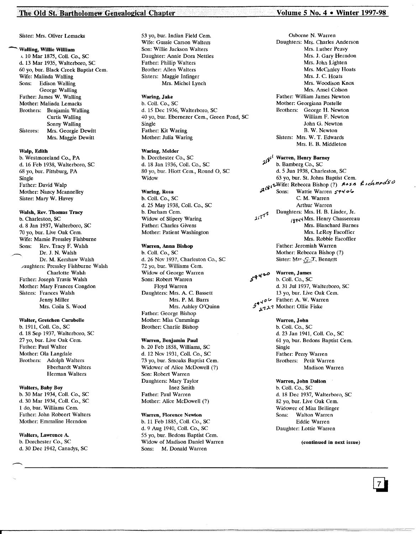# The Old St. Bartholomew Genealogical Chapter Volume S No. 4 • Winter 1997-98

Sister: Mrs. Oliver Lemacks

-Walling, Willie William

I. 10 Mar 1875, Coli. Co., sc d. 13 Mar 1935, Walterboro, SC 60 yo, bur. Black Creek Baptist Cern. Wife: Malinda Walling<br>Sons: Edison Walling Edison Walling George Walling Father: James W. Walling Mother: Malinda Lemacks Brothers: Benjamin Walling Curtis Walling Sonny Walling Sisteres: Mrs. Georgie Dewitt Mrs. Maggie Dewitt

# Walp, Edith

b. Westmoreland Co., PA d. 16 Feb 1938, Walterboro, SC 68 yo, bur. Pittsburg, PA Single Father: David Walp Mother: Nancy Mcannelley Sister: Mary W. Havey

# Walsh, Rev. Thomas Tracy

b. Charleston, SC d. 8 Jan 1937, Walterboro, SC 70 yo, bur. Live Oak Cern. Wife: Mamie Pressley Fishburne<br>Sons: Rev. Tracy F. Walsh Rev. Tracy F. Walsh Dr. J. N. Walsh Dr. M. Kershaw Walsh Jaughters: Pressley Fishburne Walsh Charlotte Walsh Father: Joseph Travis Walsh Mother: Mary Frances Congdon Sisters: Frances Walsh Jenny Miller Mrs. Coila S. Wood

# Walter, Gretchen Carabelle

b. 1911, Coli. Co., SC d. 18 Sep 1937, Walterboro, SC 27 yo, bur. Live Oak Cern. Father: Paul Walter Mother: Ola Langdale Brothers: Adolph Walters Eberhardt Walters Herman Walters

# Walters, Baby Boy

b. 30 Mar 1934, ColI. Co., SC d. 30 Mar 1934, ColI. Co., SC 1 do, bur. Williams Cem. Father: John Robeert Walters Mother: Emmaline Herndon

Walters, Lawrence A. b. Dorchester Co., SC d. 30 Dec 1942, Canadys, SC 53 yo, bur. Indian Field Cern. Wife: Gussie Carson Walters Son: Willie Jackson Walters Daughter: Annie Dora Nettles Father: Phillip Walters Brother: Allen Walters Sisters: Maggie Infinger Mrs. Michel Lynch

# Waring, Jake

b. Coli. Co., SC d. 15 Dec 1936, Walterboro, SC 40 yo, bur. Ebernezer Cem., Green Pond, SC Single Father: Kit Waring Mother: Julia Waring

# Waring, Melder

b. Dorchester Co., SC d. 18 Jan 1936, Coli. Co., SC 80 yo, bur. Hiott Cern., Round 0, SC Widow

# Waring, Rosa

b. Coli. Co., SC d. 25 May 1938, Coli. Co., SC b. Durham Cem. Widow of Slipery Waring Father: Charles Givens Mother: Patient Washington

# Warren, Anna Bishop

b. Coli. Co., SC d. 26 Nov 1937, Charleston Co., SC 72 yo, bur. Williams Cem. Widow of George Warren Sons: Robert Warren Floyd Warren Daughters: Mrs. A. C. Bassett Mrs. P. M. Barrs Mrs. Ashley O'Quinn Father: George Bishop Mother: Miss Cummings Brother: Charlie Bishop

# Warren, Benjamin Paul

b. 20 Feb 1858, Williams, SC d. 12 Nov 1931, ColI. Co., SC 73 yo, bur. Smoaks Baptist Cem. Widower of Alice McDowell (7) Son: Robert Warren Daughters: Mary Taylor Inez Smith Father: Paul Warren Mother: Alice McDowell (7)

#### Warren, Florence Newton

b. 11 Feb 1885, Coli. Co., SC d. 9 Aug 1940, ColI. Co., SC 55 yo, bur. Bedons Baptist Cem. Widow of Madison Daniel Warren Sons: M. Donald Warren

Osborne N. Warren Daughters: Mrs. Charles Anderson Mrs. Luther Peavy Mrs. J. Gary Herndon Mrs. John Lighten Mrs. McCanley Hoats Mrs. J. C. Hoats Mrs. Woodison Knox Mrs. Ansel Colson Father: William James Newton Mother: Georgiana Postelle Brothers: George H. Newton William F. Newton John G. Newton B. W. Newton Sisters: Mrs. W. T. Edwards Mrs. E. B. Middleton

 $\lambda^{i}$ <sup>i</sup> Warren, Henry Barney<br>b. Bamberg Co., SC d. 5 Jun 1938, Charleston, SC 63 yo, bur. St. Johns Baptist Cem.  $\mathbf{S}^{1 \times 1 \times 1}$  . Rebecca Bishop (?)  $\mathbf{S}^{1 \times 1}$ Sons: Wattie Warren 59406 C. M. Warren Arthur Warren <sup>11</sup><sup>7</sup> Daughters: Mrs. H. B. Linder, Jr.<br><sub>14</sub>1<sup>7</sup> pagg4 Mrs. Henry Chassereau ).(Z"1 Ifl'fi.(<1Mrs. Henry Chassereau Mrs. Blanchard Barnes Mrs. LeRoy Escoffier Mrs. Robbie Escoffier Father: Jeremiah Warren Mother: Rebecca Bishop (7) Sister: Mr. G.T. Bennett

 $5<sup>q</sup>$ <sup>420</sup> Warren, James b. Coll. Co., SC d. 31 Jul 1937, Walterboro, SC 13 yo, bur. Live Oak Cem. *"Ov* Father: A. W. Warren  $\frac{1}{2}$   $\frac{1}{2}$   $\frac{1}{2}$  Mother. Only Fiske

## Warren, John

b. Coli. Co., SC d. 23 Jan 1941, Coli. Co., SC 61 yo, bur. Bedons Baptist Cern. Single Father: Perry Warren Brothers: Petit Warren Madison Warren

## Warren, John Dalton

b. Coli. Co., SC d. 18 Dec 1937, Walterboro, SC 82 yo, bur. Live Oak Cem. Widower of Miss Bellinger<br>Sons: Walton Warren Walton Warren Eddie Warren Daughter: Lottie Warren

# (continued in next issue)

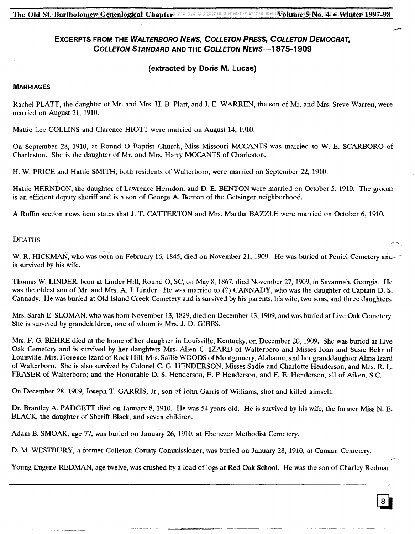# EXCERPTS FROM THE WALTERBORO NEWS, COLLETON PRESS, COLLETON DEMOCRAT, COLLETON STANDARD AND THE COLLETON NEWS-1875-1909

# (extracted by Doris M. Lucas)

# **MARRIAGES**

Rachel PLATT, the daughter of Mr. and Mrs. H. B. Platt, and J. E. WARREN, the son of Mr. and Mrs. Steve Warren, were married on August 21, 1910.

Mattie Lee COLLINS and Clarence HIOTT were married on August 14, 1910.

On September 28, 1910, at Round 0 Baptist Church, Miss Missouri MCCANTS was married to W. E. SCARBORO of Charleston. She is the daughter of Mr. and Mrs. Harry MCCANTS of Charleston.

H. W. PRICE and Hattie SMITH, both residents of Walterboro, were married on September 22, 1910.

Hattie HERNDON, the daughter of Lawrence Herndon, and D. E. BENTON were married on October 5, 1910. The groom is an efficient deputy sheriff and is a son of George A. Benton of the Getsinger neighborhood.

A Ruffin section news item states that J. T. CATTERTON and Mrs. Martha BAZZLE were married on October 6, 1910.

# DEATHS

W. R. HICKMAN, who was born on February 16, 1845, died on November 21, 1909. He was buried at Peniel Cemetery and is survived by his wife.

Thomas W. LINDER, born at Linder Hill, Round 0, SC, on May 8, 1867, died November 27, 1909, in Savannah, Georgia. He was the oldest son of Mr. and Mrs. A. J. Linder. He was married to (?) CANNADY, who was the daughter of Captain D. S. Cannady. He was buried at Old Island Creek Cemetery and is survived by his parents, his wife, two sons, and three daughters.

Mrs. Sarah E. SLOMAN, who was born November 13, 1829, died on December 13, 1909, and was buried at Live Oak Cemetery. She is survived by grandchildren, one of whom is Mrs. J. D. GIBBS.

Mrs. F. G. BEHRE died at the home of her daughter in Louisville, Kentucky, on December 20, 1909. She was buried at Live Oak Cemetery and is survived by her daughters Mrs. Allen C. IZARD of Walterboro and Misses Joan and Susie Behr of Louisville, Mrs. Florence Izard of Rock Hill, Mrs. Sallie WOODS of Montgomery, Alabama, and her granddaughter Alma Izard of Walterboro. She is also survived by Colonel C. G. HENDERSON, Misses Sadie and Charlotte Henderson, and Mrs. R. L. FRASER of Walterboro; and the Honorable D. S. Henderson, E. P Henderson, and F. E. Henderson, all of Aiken, S.C.

On December 28, 1909, Joseph T. GARRIS, Jr., son of John Garris of Williams, shot and killed himself.

Dr. Brantley A. PADGETT died on January 8, 1910. He was 54 years old. He is survived by his wife, the former Miss N. E. BLACK, the daughter of Sheriff Black, and seven children.

Adam B. SMOAK, age 77, was buried on January 26, 1910, at Ebenezer Methodist Cemetery.

D. M. WESTBURY, a former Colleton County Commissioner, was buried on January 28, 1910, at Canaan Cemetery.

Young Eugene REDMAN, age twelve, was crushed by a load of logs at Red Oak School. He was the son of Charley Redmal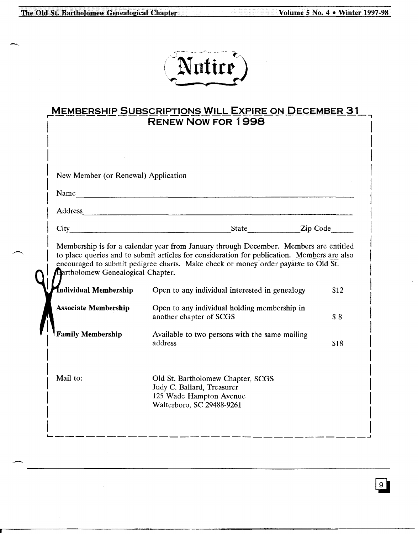The Old St. Bartholomew Genealogical Chapter Volume S No. 4 . Winter 1997-98

--------\_.~--------

# Nutire)

| <b>MEMBERSHIP SUBSCRIPTIONS WILL EXPIRE ON DECEMBER 31</b> |  |
|------------------------------------------------------------|--|
| <b>RENEW NOW FOR 1998</b>                                  |  |
|                                                            |  |

|                                                                   | New Member (or Renewal) Application                                                                                                                                                                                            |      |  |
|-------------------------------------------------------------------|--------------------------------------------------------------------------------------------------------------------------------------------------------------------------------------------------------------------------------|------|--|
| Name                                                              |                                                                                                                                                                                                                                |      |  |
|                                                                   | Address and the contract of the contract of the contract of the contract of the contract of the contract of the contract of the contract of the contract of the contract of the contract of the contract of the contract of th |      |  |
| City                                                              | State <b>Zip Code</b>                                                                                                                                                                                                          |      |  |
| <b>Bartholomew Genealogical Chapter.</b><br>Individual Membership | encouraged to submit pedigree charts. Make check or money order payable to Old St.<br>Open to any individual interested in genealogy                                                                                           | \$12 |  |
| <b>Associate Membership</b>                                       | Open to any individual holding membership in<br>another chapter of SCGS                                                                                                                                                        | \$8  |  |
| <b>Family Membership</b>                                          | Available to two persons with the same mailing<br>address                                                                                                                                                                      | \$18 |  |
|                                                                   | Old St. Bartholomew Chapter, SCGS                                                                                                                                                                                              |      |  |

 $\boxed{9}$